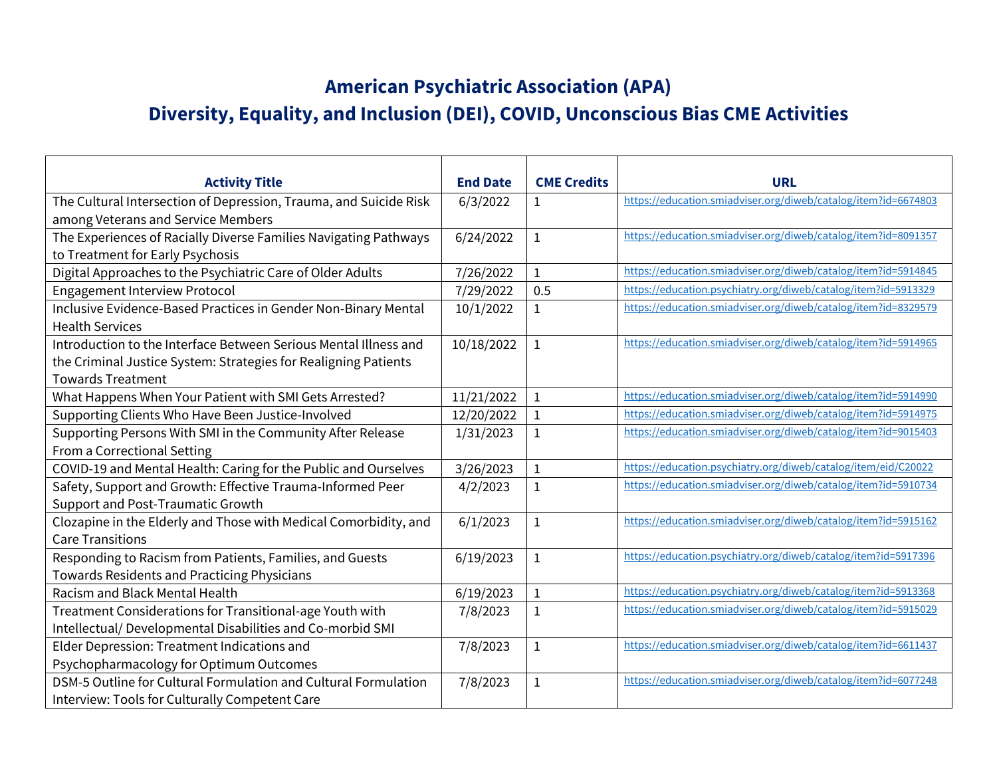## **American Psychiatric Association (APA)**

## **Diversity, Equality, and Inclusion (DEI), COVID, Unconscious Bias CME Activities**

| <b>Activity Title</b>                                             | <b>End Date</b> | <b>CME Credits</b> | <b>URL</b>                                                     |
|-------------------------------------------------------------------|-----------------|--------------------|----------------------------------------------------------------|
| The Cultural Intersection of Depression, Trauma, and Suicide Risk | 6/3/2022        | $\mathbf{1}$       | https://education.smiadviser.org/diweb/catalog/item?id=6674803 |
| among Veterans and Service Members                                |                 |                    |                                                                |
| The Experiences of Racially Diverse Families Navigating Pathways  | 6/24/2022       | $\mathbf{1}$       | https://education.smiadviser.org/diweb/catalog/item?id=8091357 |
| to Treatment for Early Psychosis                                  |                 |                    |                                                                |
| Digital Approaches to the Psychiatric Care of Older Adults        | 7/26/2022       | $\mathbf{1}$       | https://education.smiadviser.org/diweb/catalog/item?id=5914845 |
| <b>Engagement Interview Protocol</b>                              | 7/29/2022       | 0.5                | https://education.psychiatry.org/diweb/catalog/item?id=5913329 |
| Inclusive Evidence-Based Practices in Gender Non-Binary Mental    | 10/1/2022       | 1                  | https://education.smiadviser.org/diweb/catalog/item?id=8329579 |
| <b>Health Services</b>                                            |                 |                    |                                                                |
| Introduction to the Interface Between Serious Mental Illness and  | 10/18/2022      | $\mathbf{1}$       | https://education.smiadviser.org/diweb/catalog/item?id=5914965 |
| the Criminal Justice System: Strategies for Realigning Patients   |                 |                    |                                                                |
| <b>Towards Treatment</b>                                          |                 |                    |                                                                |
| What Happens When Your Patient with SMI Gets Arrested?            | 11/21/2022      | $\mathbf{1}$       | https://education.smiadviser.org/diweb/catalog/item?id=5914990 |
| Supporting Clients Who Have Been Justice-Involved                 | 12/20/2022      |                    | https://education.smiadviser.org/diweb/catalog/item?id=5914975 |
| Supporting Persons With SMI in the Community After Release        | 1/31/2023       | 1                  | https://education.smiadviser.org/diweb/catalog/item?id=9015403 |
| From a Correctional Setting                                       |                 |                    |                                                                |
| COVID-19 and Mental Health: Caring for the Public and Ourselves   | 3/26/2023       | $\mathbf{1}$       | https://education.psychiatry.org/diweb/catalog/item/eid/C20022 |
| Safety, Support and Growth: Effective Trauma-Informed Peer        | 4/2/2023        | $\mathbf{1}$       | https://education.smiadviser.org/diweb/catalog/item?id=5910734 |
| Support and Post-Traumatic Growth                                 |                 |                    |                                                                |
| Clozapine in the Elderly and Those with Medical Comorbidity, and  | 6/1/2023        | $\mathbf{1}$       | https://education.smiadviser.org/diweb/catalog/item?id=5915162 |
| <b>Care Transitions</b>                                           |                 |                    |                                                                |
| Responding to Racism from Patients, Families, and Guests          | 6/19/2023       | $\mathbf 1$        | https://education.psychiatry.org/diweb/catalog/item?id=5917396 |
| Towards Residents and Practicing Physicians                       |                 |                    |                                                                |
| Racism and Black Mental Health                                    | 6/19/2023       | $\mathbf{1}$       | https://education.psychiatry.org/diweb/catalog/item?id=5913368 |
| Treatment Considerations for Transitional-age Youth with          | 7/8/2023        | $\mathbf{1}$       | https://education.smiadviser.org/diweb/catalog/item?id=5915029 |
| Intellectual/ Developmental Disabilities and Co-morbid SMI        |                 |                    |                                                                |
| Elder Depression: Treatment Indications and                       | 7/8/2023        | $\mathbf{1}$       | https://education.smiadviser.org/diweb/catalog/item?id=6611437 |
| Psychopharmacology for Optimum Outcomes                           |                 |                    |                                                                |
| DSM-5 Outline for Cultural Formulation and Cultural Formulation   | 7/8/2023        | $\mathbf{1}$       | https://education.smiadviser.org/diweb/catalog/item?id=6077248 |
| Interview: Tools for Culturally Competent Care                    |                 |                    |                                                                |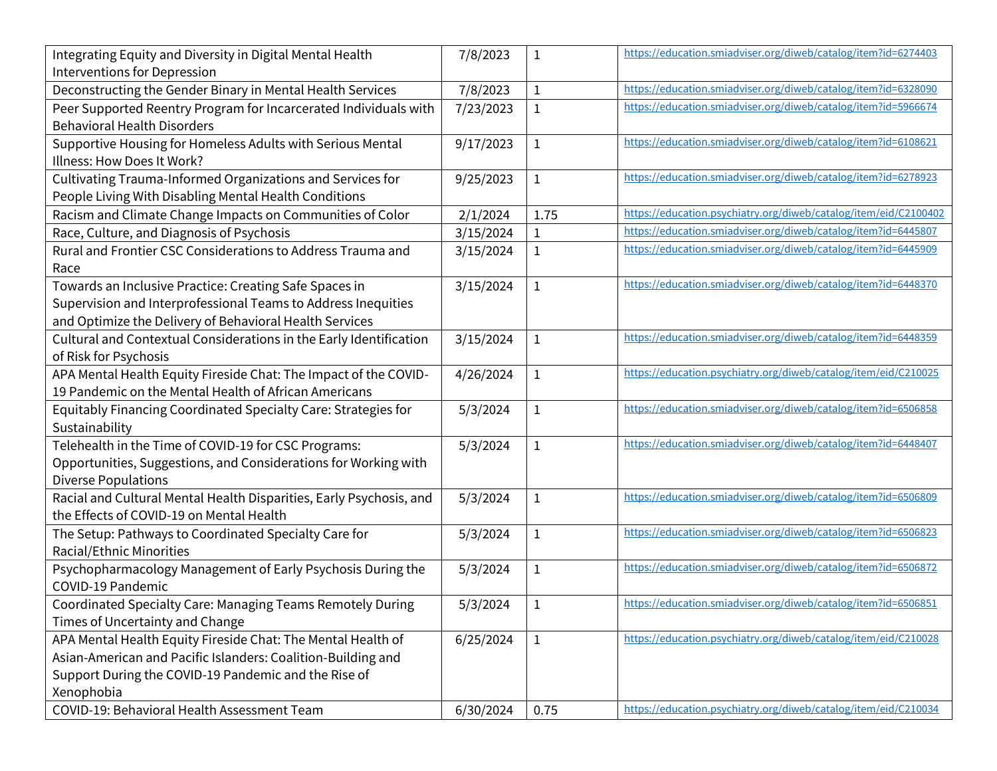| Integrating Equity and Diversity in Digital Mental Health           | 7/8/2023  | $\mathbf{1}$ | https://education.smiadviser.org/diweb/catalog/item?id=6274403   |
|---------------------------------------------------------------------|-----------|--------------|------------------------------------------------------------------|
| <b>Interventions for Depression</b>                                 |           |              |                                                                  |
| Deconstructing the Gender Binary in Mental Health Services          | 7/8/2023  | $\mathbf{1}$ | https://education.smiadviser.org/diweb/catalog/item?id=6328090   |
| Peer Supported Reentry Program for Incarcerated Individuals with    | 7/23/2023 | $\mathbf 1$  | https://education.smiadviser.org/diweb/catalog/item?id=5966674   |
| <b>Behavioral Health Disorders</b>                                  |           |              |                                                                  |
| Supportive Housing for Homeless Adults with Serious Mental          | 9/17/2023 | $\mathbf{1}$ | https://education.smiadviser.org/diweb/catalog/item?id=6108621   |
| Illness: How Does It Work?                                          |           |              |                                                                  |
| Cultivating Trauma-Informed Organizations and Services for          | 9/25/2023 | $\mathbf{1}$ | https://education.smiadviser.org/diweb/catalog/item?id=6278923   |
| People Living With Disabling Mental Health Conditions               |           |              |                                                                  |
| Racism and Climate Change Impacts on Communities of Color           | 2/1/2024  | 1.75         | https://education.psychiatry.org/diweb/catalog/item/eid/C2100402 |
| Race, Culture, and Diagnosis of Psychosis                           | 3/15/2024 | $\mathbf{1}$ | https://education.smiadviser.org/diweb/catalog/item?id=6445807   |
| Rural and Frontier CSC Considerations to Address Trauma and         | 3/15/2024 | $\mathbf 1$  | https://education.smiadviser.org/diweb/catalog/item?id=6445909   |
| Race                                                                |           |              |                                                                  |
| Towards an Inclusive Practice: Creating Safe Spaces in              | 3/15/2024 | $\mathbf 1$  | https://education.smiadviser.org/diweb/catalog/item?id=6448370   |
| Supervision and Interprofessional Teams to Address Inequities       |           |              |                                                                  |
| and Optimize the Delivery of Behavioral Health Services             |           |              |                                                                  |
| Cultural and Contextual Considerations in the Early Identification  | 3/15/2024 | $\mathbf{1}$ | https://education.smiadviser.org/diweb/catalog/item?id=6448359   |
| of Risk for Psychosis                                               |           |              |                                                                  |
| APA Mental Health Equity Fireside Chat: The Impact of the COVID-    | 4/26/2024 | $\mathbf{1}$ | https://education.psychiatry.org/diweb/catalog/item/eid/C210025  |
| 19 Pandemic on the Mental Health of African Americans               |           |              |                                                                  |
| Equitably Financing Coordinated Specialty Care: Strategies for      | 5/3/2024  | $\mathbf{1}$ | https://education.smiadviser.org/diweb/catalog/item?id=6506858   |
| Sustainability                                                      |           |              |                                                                  |
| Telehealth in the Time of COVID-19 for CSC Programs:                | 5/3/2024  | $\mathbf{1}$ | https://education.smiadviser.org/diweb/catalog/item?id=6448407   |
| Opportunities, Suggestions, and Considerations for Working with     |           |              |                                                                  |
| <b>Diverse Populations</b>                                          |           |              |                                                                  |
| Racial and Cultural Mental Health Disparities, Early Psychosis, and | 5/3/2024  | $\mathbf{1}$ | https://education.smiadviser.org/diweb/catalog/item?id=6506809   |
| the Effects of COVID-19 on Mental Health                            |           |              |                                                                  |
| The Setup: Pathways to Coordinated Specialty Care for               | 5/3/2024  | $\mathbf{1}$ | https://education.smiadviser.org/diweb/catalog/item?id=6506823   |
| Racial/Ethnic Minorities                                            |           |              |                                                                  |
| Psychopharmacology Management of Early Psychosis During the         | 5/3/2024  | $\mathbf{1}$ | https://education.smiadviser.org/diweb/catalog/item?id=6506872   |
| COVID-19 Pandemic                                                   |           |              |                                                                  |
| Coordinated Specialty Care: Managing Teams Remotely During          | 5/3/2024  | 1            | https://education.smiadviser.org/diweb/catalog/item?id=6506851   |
| Times of Uncertainty and Change                                     |           |              |                                                                  |
| APA Mental Health Equity Fireside Chat: The Mental Health of        | 6/25/2024 | $\mathbf{1}$ | https://education.psychiatry.org/diweb/catalog/item/eid/C210028  |
| Asian-American and Pacific Islanders: Coalition-Building and        |           |              |                                                                  |
| Support During the COVID-19 Pandemic and the Rise of                |           |              |                                                                  |
| Xenophobia                                                          |           |              |                                                                  |
| COVID-19: Behavioral Health Assessment Team                         | 6/30/2024 | 0.75         | https://education.psychiatry.org/diweb/catalog/item/eid/C210034  |